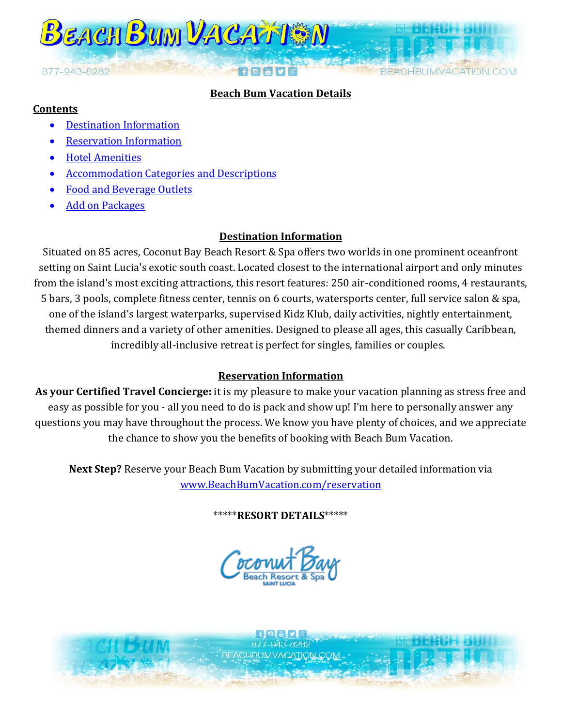

### **Beach Bum Vacation Details**

#### **Contents**

- [Destination Information](#page-0-0)
- [Reservation Information](#page-0-1)
- [Hotel Amenities](#page-1-0)
- [Accommodation Categories and Descriptions](#page-3-0)
- [Food and Beverage Outlets](#page-8-0)
- [Add on Packages](#page-9-0)

### **Destination Information**

<span id="page-0-0"></span>Situated on 85 acres, Coconut Bay Beach Resort & Spa offers two worlds in one prominent oceanfront setting on Saint Lucia's exotic south coast. Located closest to the international airport and only minutes from the island's most exciting attractions, this resort features: 250 air-conditioned rooms, 4 restaurants, 5 bars, 3 pools, complete fitness center, tennis on 6 courts, watersports center, full service salon & spa, one of the island's largest waterparks, supervised Kidz Klub, daily activities, nightly entertainment, themed dinners and a variety of other amenities. Designed to please all ages, this casually Caribbean, incredibly all-inclusive retreat is perfect for singles, families or couples.

#### **Reservation Information**

<span id="page-0-1"></span>**As your Certified Travel Concierge:** it is my pleasure to make your vacation planning as stress free and easy as possible for you - all you need to do is pack and show up! I'm here to personally answer any questions you may have throughout the process. We know you have plenty of choices, and we appreciate the chance to show you the benefits of booking with Beach Bum Vacation.

**Next Step?** Reserve your Beach Bum Vacation by submitting your detailed information via [www.BeachBumVacation.com/reservation](file:///C:/AppData/Local/Microsoft/Windows/User/AppData/Local/Microsoft/Windows/Temporary%20Internet%20Files/Content.Outlook/TDU92675/www.BeachBumVacation.com/reservation)

\*\*\*\*\***RESORT DETAILS**\*\*\*\*\*

each Resort 8



7.043.8989 **BEACHBUMVACATION.COM**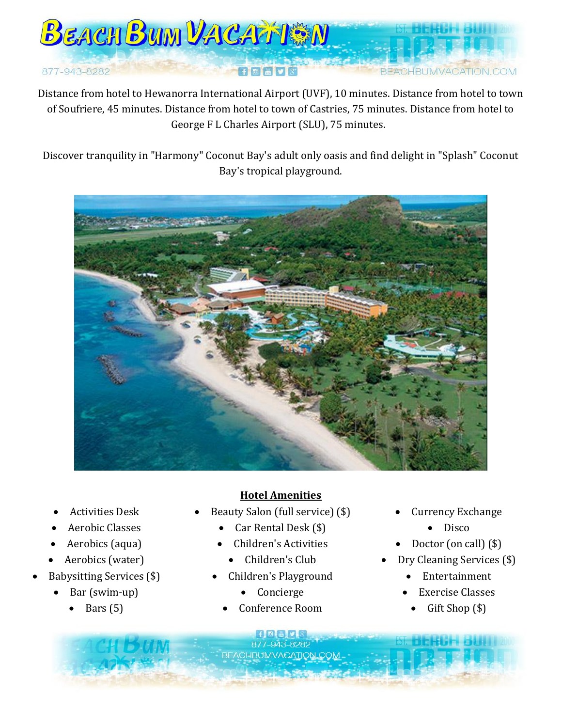

Distance from hotel to Hewanorra International Airport (UVF), 10 minutes. Distance from hotel to town of Soufriere, 45 minutes. Distance from hotel to town of Castries, 75 minutes. Distance from hotel to George F L Charles Airport (SLU), 75 minutes.

Discover tranquility in "Harmony" Coconut Bay's adult only oasis and find delight in "Splash" Coconut Bay's tropical playground.



- <span id="page-1-0"></span>Activities Desk
- Aerobic Classes
- Aerobics (aqua)
- Aerobics (water)
- Babysitting Services (\$)
	- Bar (swim-up)
		- Bars (5)

# **Hotel Amenities**

- Beauty Salon (full service) (\$)
	- Car Rental Desk (\$)
	- Children's Activities
	- Children's Club
	- Children's Playground
		- Concierge
		- Conference Room
- Currency Exchange
	- Disco
- Doctor (on call) (\$)
- Dry Cleaning Services (\$)
	- Entertainment
	- Exercise Classes
		- Gift Shop (\$)

 $\mathbf{f}$   $\mathbf{d}$   $\mathbf{b}$   $\mathbf{v}$   $\mathbf{r}$ 7-943-8282 BEACHBUMVACATION COM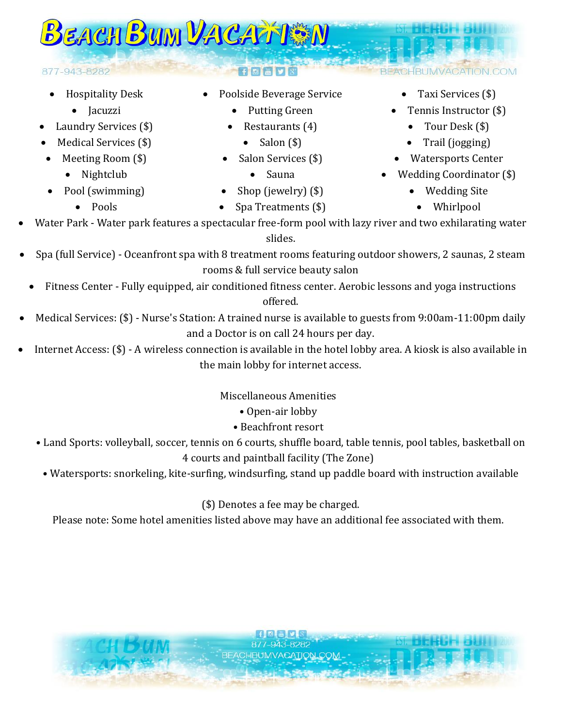

- Hospitality Desk
	- **Jacuzzi**
- Laundry Services (\$)
- Medical Services (\$)
- Meeting Room (\$)
	- Nightclub
- Pool (swimming)
	- Pools
- Poolside Beverage Service
	- Putting Green
	- Restaurants  $(4)$ 
		- Salon  $(\$)$
	- Salon Services (\$)
		- Sauna
	- Shop (jewelry) (\$)
	- Spa Treatments (\$)
- Taxi Services (\$)
- Tennis Instructor (\$)
	- Tour Desk (\$)
	- Trail (jogging)
- Watersports Center
- Wedding Coordinator (\$)
	- Wedding Site
		- Whirlpool
- Water Park Water park features a spectacular free-form pool with lazy river and two exhilarating water slides.
- Spa (full Service) Oceanfront spa with 8 treatment rooms featuring outdoor showers, 2 saunas, 2 steam rooms & full service beauty salon
	- Fitness Center Fully equipped, air conditioned fitness center. Aerobic lessons and yoga instructions offered.
- Medical Services: (\$) Nurse's Station: A trained nurse is available to guests from 9:00am-11:00pm daily and a Doctor is on call 24 hours per day.
- Internet Access: (\$) A wireless connection is available in the hotel lobby area. A kiosk is also available in the main lobby for internet access.

Miscellaneous Amenities

- Open-air lobby
- Beachfront resort
- Land Sports: volleyball, soccer, tennis on 6 courts, shuffle board, table tennis, pool tables, basketball on 4 courts and paintball facility (The Zone)
	- Watersports: snorkeling, kite-surfing, windsurfing, stand up paddle board with instruction available

(\$) Denotes a fee may be charged.

Please note: Some hotel amenities listed above may have an additional fee associated with them.

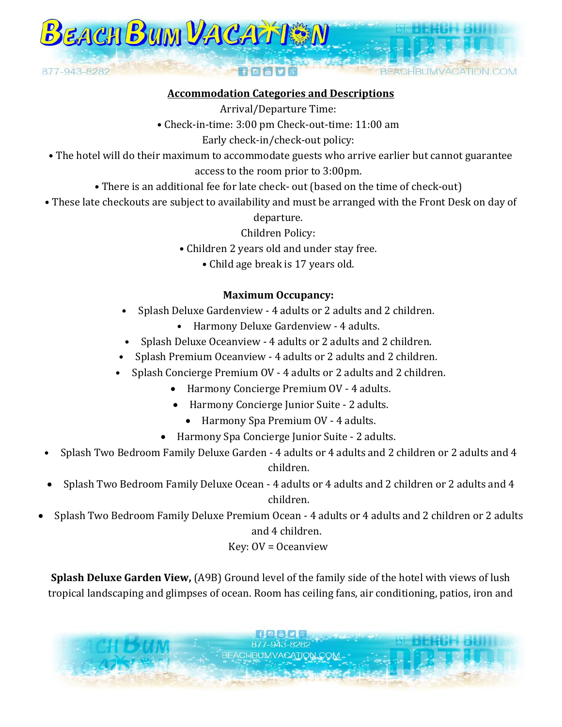

### **Accommodation Categories and Descriptions**

Arrival/Departure Time:

• Check-in-time: 3:00 pm Check-out-time: 11:00 am

Early check-in/check-out policy:

<span id="page-3-0"></span>• The hotel will do their maximum to accommodate guests who arrive earlier but cannot guarantee

access to the room prior to 3:00pm.

- There is an additional fee for late check- out (based on the time of check-out)
- These late checkouts are subject to availability and must be arranged with the Front Desk on day of

departure.

Children Policy:

- Children 2 years old and under stay free.
	- Child age break is 17 years old.

## **Maximum Occupancy:**

- Splash Deluxe Gardenview 4 adults or 2 adults and 2 children.
	- Harmony Deluxe Gardenview 4 adults.
- Splash Deluxe Oceanview 4 adults or 2 adults and 2 children.
- Splash Premium Oceanview 4 adults or 2 adults and 2 children.
- Splash Concierge Premium OV 4 adults or 2 adults and 2 children.
	- Harmony Concierge Premium OV 4 adults.
	- Harmony Concierge Junior Suite 2 adults.
		- Harmony Spa Premium OV 4 adults.
	- Harmony Spa Concierge Junior Suite 2 adults.
- Splash Two Bedroom Family Deluxe Garden 4 adults or 4 adults and 2 children or 2 adults and 4 children.
- Splash Two Bedroom Family Deluxe Ocean 4 adults or 4 adults and 2 children or 2 adults and 4 children.
- Splash Two Bedroom Family Deluxe Premium Ocean 4 adults or 4 adults and 2 children or 2 adults and 4 children.

## Key: OV = Oceanview

**Splash Deluxe Garden View,** (A9B) Ground level of the family side of the hotel with views of lush tropical landscaping and glimpses of ocean. Room has ceiling fans, air conditioning, patios, iron and

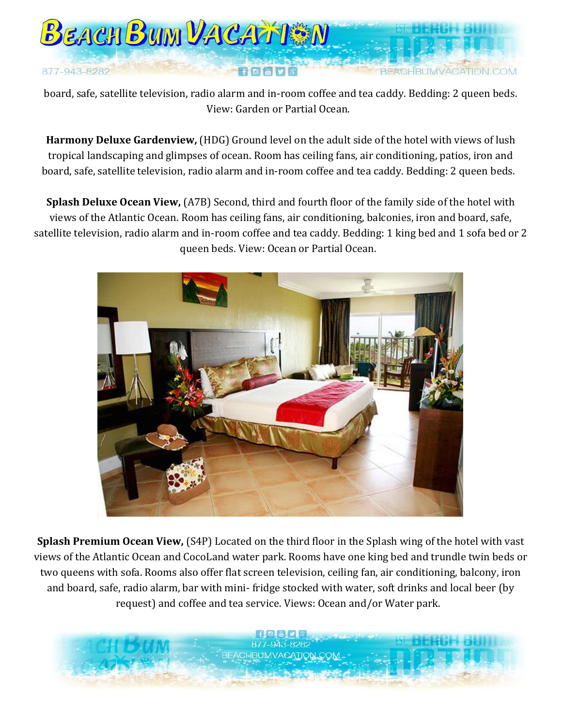

board, safe, satellite television, radio alarm and in-room coffee and tea caddy. Bedding: 2 queen beds. View: Garden or Partial Ocean.

**Harmony Deluxe Gardenview,** (HDG) Ground level on the adult side of the hotel with views of lush tropical landscaping and glimpses of ocean. Room has ceiling fans, air conditioning, patios, iron and board, safe, satellite television, radio alarm and in-room coffee and tea caddy. Bedding: 2 queen beds.

**Splash Deluxe Ocean View,** (A7B) Second, third and fourth floor of the family side of the hotel with views of the Atlantic Ocean. Room has ceiling fans, air conditioning, balconies, iron and board, safe, satellite television, radio alarm and in-room coffee and tea caddy. Bedding: 1 king bed and 1 sofa bed or 2 queen beds. View: Ocean or Partial Ocean.



**Splash Premium Ocean View,** (S4P) Located on the third floor in the Splash wing of the hotel with vast views of the Atlantic Ocean and CocoLand water park. Rooms have one king bed and trundle twin beds or two queens with sofa. Rooms also offer flat screen television, ceiling fan, air conditioning, balcony, iron and board, safe, radio alarm, bar with mini- fridge stocked with water, soft drinks and local beer (by request) and coffee and tea service. Views: Ocean and/or Water park.

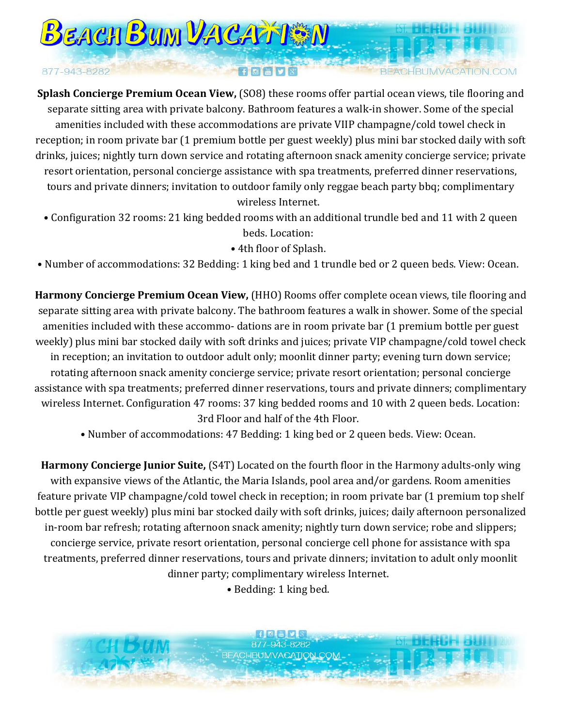

**Splash Concierge Premium Ocean View,** (SO8) these rooms offer partial ocean views, tile flooring and separate sitting area with private balcony. Bathroom features a walk-in shower. Some of the special amenities included with these accommodations are private VIIP champagne/cold towel check in reception; in room private bar (1 premium bottle per guest weekly) plus mini bar stocked daily with soft drinks, juices; nightly turn down service and rotating afternoon snack amenity concierge service; private resort orientation, personal concierge assistance with spa treatments, preferred dinner reservations, tours and private dinners; invitation to outdoor family only reggae beach party bbq; complimentary wireless Internet.

• Configuration 32 rooms: 21 king bedded rooms with an additional trundle bed and 11 with 2 queen beds. Location:

• 4th floor of Splash.

• Number of accommodations: 32 Bedding: 1 king bed and 1 trundle bed or 2 queen beds. View: Ocean.

**Harmony Concierge Premium Ocean View,** (HHO) Rooms offer complete ocean views, tile flooring and separate sitting area with private balcony. The bathroom features a walk in shower. Some of the special amenities included with these accommo- dations are in room private bar (1 premium bottle per guest weekly) plus mini bar stocked daily with soft drinks and juices; private VIP champagne/cold towel check in reception; an invitation to outdoor adult only; moonlit dinner party; evening turn down service; rotating afternoon snack amenity concierge service; private resort orientation; personal concierge assistance with spa treatments; preferred dinner reservations, tours and private dinners; complimentary wireless Internet. Configuration 47 rooms: 37 king bedded rooms and 10 with 2 queen beds. Location: 3rd Floor and half of the 4th Floor.

• Number of accommodations: 47 Bedding: 1 king bed or 2 queen beds. View: Ocean.

**Harmony Concierge Junior Suite,** (S4T) Located on the fourth floor in the Harmony adults-only wing with expansive views of the Atlantic, the Maria Islands, pool area and/or gardens. Room amenities feature private VIP champagne/cold towel check in reception; in room private bar (1 premium top shelf bottle per guest weekly) plus mini bar stocked daily with soft drinks, juices; daily afternoon personalized in-room bar refresh; rotating afternoon snack amenity; nightly turn down service; robe and slippers; concierge service, private resort orientation, personal concierge cell phone for assistance with spa treatments, preferred dinner reservations, tours and private dinners; invitation to adult only moonlit dinner party; complimentary wireless Internet.

• Bedding: 1 king bed.

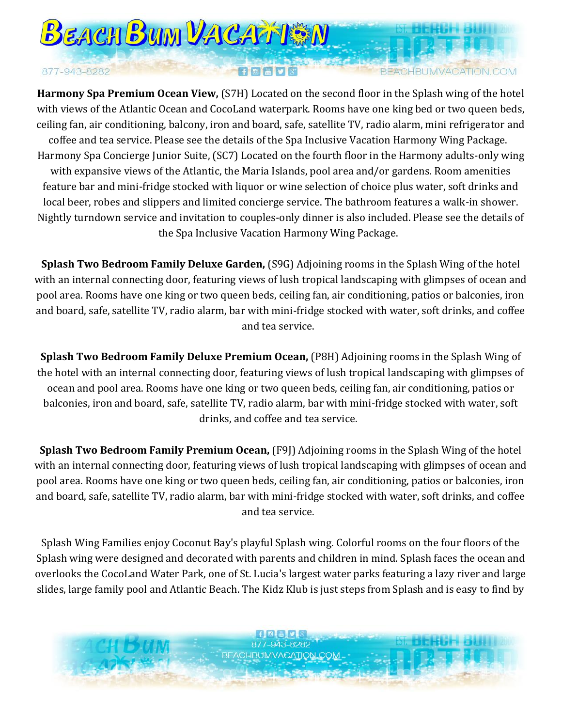

**Harmony Spa Premium Ocean View,** (S7H) Located on the second floor in the Splash wing of the hotel with views of the Atlantic Ocean and CocoLand waterpark. Rooms have one king bed or two queen beds, ceiling fan, air conditioning, balcony, iron and board, safe, satellite TV, radio alarm, mini refrigerator and coffee and tea service. Please see the details of the Spa Inclusive Vacation Harmony Wing Package. Harmony Spa Concierge Junior Suite, (SC7) Located on the fourth floor in the Harmony adults-only wing with expansive views of the Atlantic, the Maria Islands, pool area and/or gardens. Room amenities feature bar and mini-fridge stocked with liquor or wine selection of choice plus water, soft drinks and local beer, robes and slippers and limited concierge service. The bathroom features a walk-in shower. Nightly turndown service and invitation to couples-only dinner is also included. Please see the details of the Spa Inclusive Vacation Harmony Wing Package.

**Splash Two Bedroom Family Deluxe Garden,** (S9G) Adjoining rooms in the Splash Wing of the hotel with an internal connecting door, featuring views of lush tropical landscaping with glimpses of ocean and pool area. Rooms have one king or two queen beds, ceiling fan, air conditioning, patios or balconies, iron and board, safe, satellite TV, radio alarm, bar with mini-fridge stocked with water, soft drinks, and coffee and tea service.

**Splash Two Bedroom Family Deluxe Premium Ocean,** (P8H) Adjoining rooms in the Splash Wing of the hotel with an internal connecting door, featuring views of lush tropical landscaping with glimpses of ocean and pool area. Rooms have one king or two queen beds, ceiling fan, air conditioning, patios or balconies, iron and board, safe, satellite TV, radio alarm, bar with mini-fridge stocked with water, soft drinks, and coffee and tea service.

**Splash Two Bedroom Family Premium Ocean,** (F9J) Adjoining rooms in the Splash Wing of the hotel with an internal connecting door, featuring views of lush tropical landscaping with glimpses of ocean and pool area. Rooms have one king or two queen beds, ceiling fan, air conditioning, patios or balconies, iron and board, safe, satellite TV, radio alarm, bar with mini-fridge stocked with water, soft drinks, and coffee and tea service.

Splash Wing Families enjoy Coconut Bay's playful Splash wing. Colorful rooms on the four floors of the Splash wing were designed and decorated with parents and children in mind. Splash faces the ocean and overlooks the CocoLand Water Park, one of St. Lucia's largest water parks featuring a lazy river and large slides, large family pool and Atlantic Beach. The Kidz Klub is just steps from Splash and is easy to find by

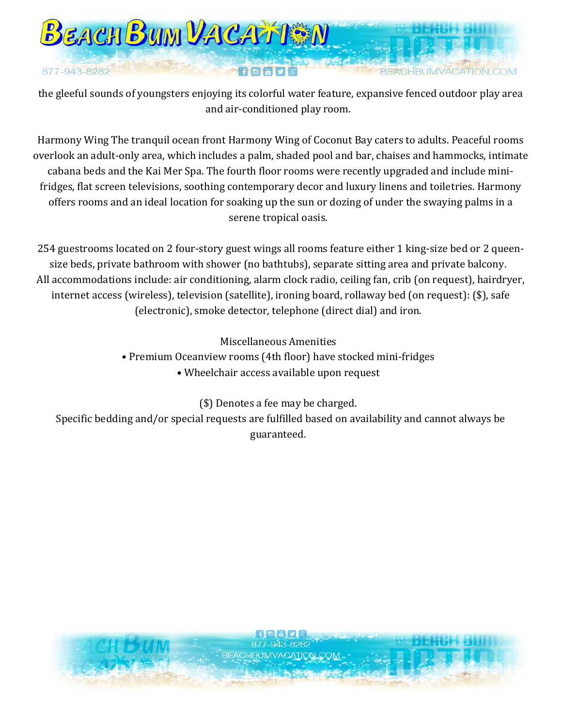

the gleeful sounds of youngsters enjoying its colorful water feature, expansive fenced outdoor play area and air-conditioned play room.

Harmony Wing The tranquil ocean front Harmony Wing of Coconut Bay caters to adults. Peaceful rooms overlook an adult-only area, which includes a palm, shaded pool and bar, chaises and hammocks, intimate cabana beds and the Kai Mer Spa. The fourth floor rooms were recently upgraded and include minifridges, flat screen televisions, soothing contemporary decor and luxury linens and toiletries. Harmony offers rooms and an ideal location for soaking up the sun or dozing of under the swaying palms in a serene tropical oasis.

254 guestrooms located on 2 four-story guest wings all rooms feature either 1 king-size bed or 2 queensize beds, private bathroom with shower (no bathtubs), separate sitting area and private balcony. All accommodations include: air conditioning, alarm clock radio, ceiling fan, crib (on request), hairdryer, internet access (wireless), television (satellite), ironing board, rollaway bed (on request): (\$), safe (electronic), smoke detector, telephone (direct dial) and iron.

Miscellaneous Amenities

• Premium Oceanview rooms (4th floor) have stocked mini-fridges • Wheelchair access available upon request

(\$) Denotes a fee may be charged.

Specific bedding and/or special requests are fulfilled based on availability and cannot always be guaranteed.

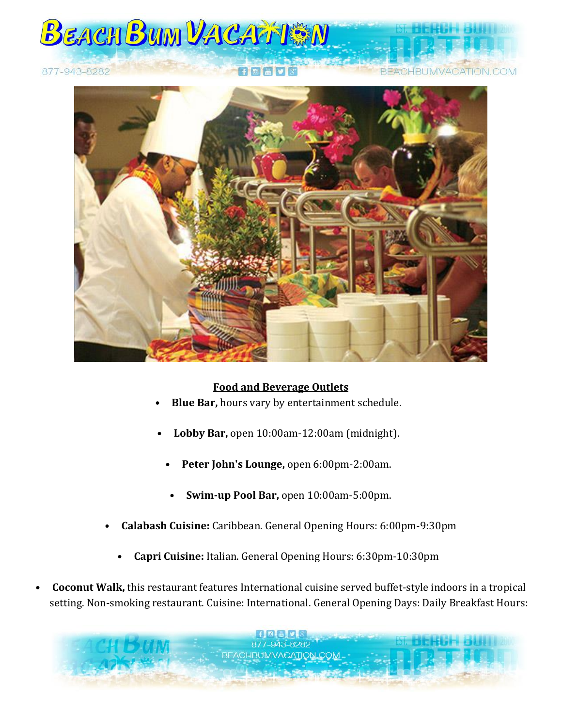



#### **Food and Beverage Outlets**

- <span id="page-8-0"></span>• **Blue Bar,** hours vary by entertainment schedule.
- **Lobby Bar,** open 10:00am-12:00am (midnight).
	- **Peter John's Lounge,** open 6:00pm-2:00am.
	- **Swim-up Pool Bar,** open 10:00am-5:00pm.
- **Calabash Cuisine:** Caribbean. General Opening Hours: 6:00pm-9:30pm
	- **Capri Cuisine:** Italian. General Opening Hours: 6:30pm-10:30pm
- **Coconut Walk,** this restaurant features International cuisine served buffet-style indoors in a tropical setting. Non-smoking restaurant. Cuisine: International. General Opening Days: Daily Breakfast Hours:

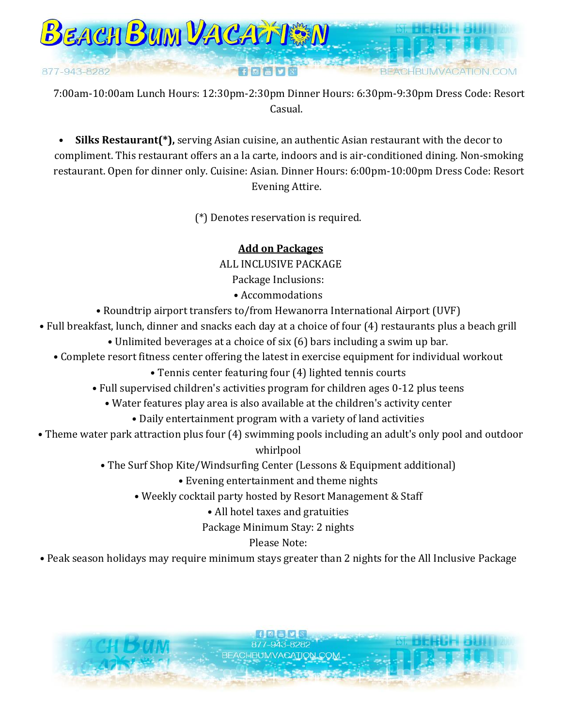

7:00am-10:00am Lunch Hours: 12:30pm-2:30pm Dinner Hours: 6:30pm-9:30pm Dress Code: Resort Casual.

• **Silks Restaurant(\*),** serving Asian cuisine, an authentic Asian restaurant with the decor to compliment. This restaurant offers an a la carte, indoors and is air-conditioned dining. Non-smoking restaurant. Open for dinner only. Cuisine: Asian. Dinner Hours: 6:00pm-10:00pm Dress Code: Resort Evening Attire.

(\*) Denotes reservation is required.

### **Add on Packages**

ALL INCLUSIVE PACKAGE

Package Inclusions:

- Accommodations
- Roundtrip airport transfers to/from Hewanorra International Airport (UVF)
- <span id="page-9-0"></span>• Full breakfast, lunch, dinner and snacks each day at a choice of four (4) restaurants plus a beach grill
	- Unlimited beverages at a choice of six (6) bars including a swim up bar.
	- Complete resort fitness center offering the latest in exercise equipment for individual workout
		- Tennis center featuring four (4) lighted tennis courts
		- Full supervised children's activities program for children ages 0-12 plus teens
			- Water features play area is also available at the children's activity center
				- Daily entertainment program with a variety of land activities
- Theme water park attraction plus four (4) swimming pools including an adult's only pool and outdoor whirlpool
	- The Surf Shop Kite/Windsurfing Center (Lessons & Equipment additional)
		- Evening entertainment and theme nights
		- Weekly cocktail party hosted by Resort Management & Staff

• All hotel taxes and gratuities

Package Minimum Stay: 2 nights

Please Note:

• Peak season holidays may require minimum stays greater than 2 nights for the All Inclusive Package

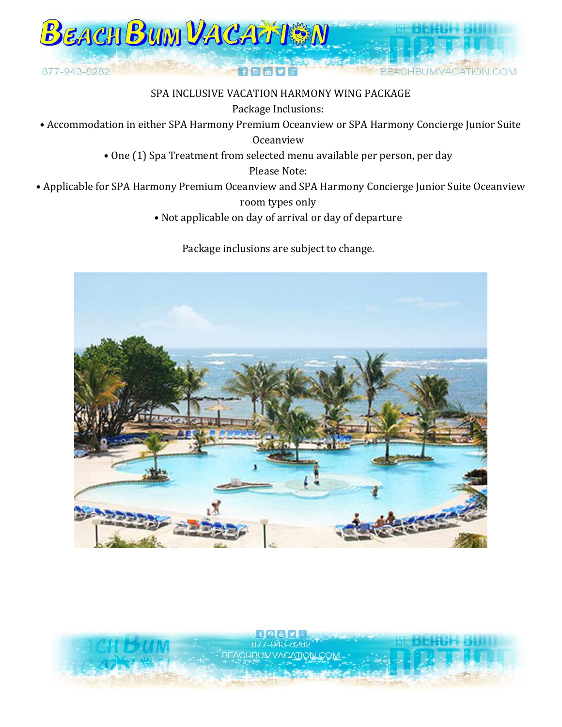

#### SPA INCLUSIVE VACATION HARMONY WING PACKAGE

Package Inclusions:

• Accommodation in either SPA Harmony Premium Oceanview or SPA Harmony Concierge Junior Suite

Oceanview

• One (1) Spa Treatment from selected menu available per person, per day

Please Note:

• Applicable for SPA Harmony Premium Oceanview and SPA Harmony Concierge Junior Suite Oceanview

#### room types only

• Not applicable on day of arrival or day of departure

Package inclusions are subject to change.



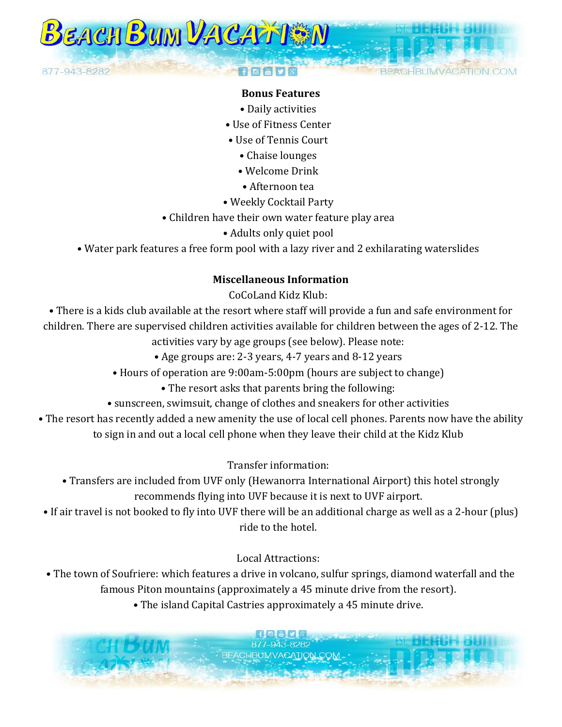

#### **Bonus Features**

- Daily activities
- Use of Fitness Center
- Use of Tennis Court
	- Chaise lounges
	- Welcome Drink
	- Afternoon tea
- Weekly Cocktail Party
- Children have their own water feature play area
	- Adults only quiet pool
- Water park features a free form pool with a lazy river and 2 exhilarating waterslides

## **Miscellaneous Information**

CoCoLand Kidz Klub:

• There is a kids club available at the resort where staff will provide a fun and safe environment for children. There are supervised children activities available for children between the ages of 2-12. The activities vary by age groups (see below). Please note:

- Age groups are: 2-3 years, 4-7 years and 8-12 years
- Hours of operation are 9:00am-5:00pm (hours are subject to change)
	- The resort asks that parents bring the following:
- sunscreen, swimsuit, change of clothes and sneakers for other activities

• The resort has recently added a new amenity the use of local cell phones. Parents now have the ability to sign in and out a local cell phone when they leave their child at the Kidz Klub

Transfer information:

• Transfers are included from UVF only (Hewanorra International Airport) this hotel strongly recommends flying into UVF because it is next to UVF airport.

• If air travel is not booked to fly into UVF there will be an additional charge as well as a 2-hour (plus) ride to the hotel.

Local Attractions:

• The town of Soufriere: which features a drive in volcano, sulfur springs, diamond waterfall and the famous Piton mountains (approximately a 45 minute drive from the resort).

• The island Capital Castries approximately a 45 minute drive.